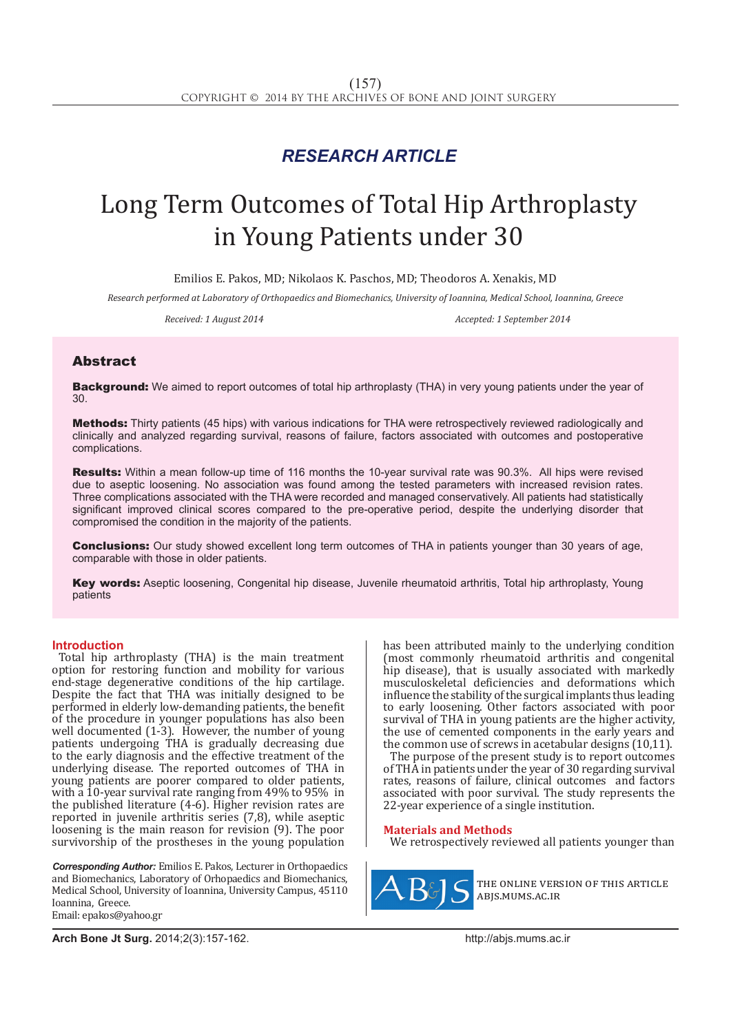## *RESEARCH ARTICLE*

# Long Term Outcomes of Total Hip Arthroplasty in Young Patients under 30

Emilios E. Pakos, MD; Nikolaos K. Paschos, MD; Theodoros A. Xenakis, MD

*Research performed at Laboratory of Orthopaedics and Biomechanics, University of Ioannina, Medical School, Ioannina, Greece*

*Received: 1 August 2014 Accepted: 1 September 2014*

### Abstract

Background: We aimed to report outcomes of total hip arthroplasty (THA) in very young patients under the year of 30.

Methods: Thirty patients (45 hips) with various indications for THA were retrospectively reviewed radiologically and clinically and analyzed regarding survival, reasons of failure, factors associated with outcomes and postoperative complications.

Results: Within a mean follow-up time of 116 months the 10-year survival rate was 90.3%. All hips were revised due to aseptic loosening. No association was found among the tested parameters with increased revision rates. Three complications associated with the THA were recorded and managed conservatively. All patients had statistically significant improved clinical scores compared to the pre-operative period, despite the underlying disorder that compromised the condition in the majority of the patients.

**Conclusions:** Our study showed excellent long term outcomes of THA in patients younger than 30 years of age, comparable with those in older patients.

Key words: Aseptic loosening, Congenital hip disease, Juvenile rheumatoid arthritis, Total hip arthroplasty, Young patients

#### **Introduction**

Total hip arthroplasty (THA) is the main treatment option for restoring function and mobility for various end-stage degenerative conditions of the hip cartilage. Despite the fact that THA was initially designed to be performed in elderly low-demanding patients, the benefit of the procedure in younger populations has also been well documented (1-3). However, the number of young patients undergoing THA is gradually decreasing due to the early diagnosis and the effective treatment of the underlying disease. The reported outcomes of THA in young patients are poorer compared to older patients, with a 10-year survival rate ranging from 49% to 95% in the published literature (4-6). Higher revision rates are reported in juvenile arthritis series (7,8), while aseptic loosening is the main reason for revision (9). The poor survivorship of the prostheses in the young population

*Corresponding Author:* Emilios E. Pakos, Lecturer in Orthopaedics and Biomechanics, Laboratory of Orhopaedics and Biomechanics, Medical School, University of Ioannina, University Campus, 45110 Ioannina, Greece. Email: epakos@yahoo.gr

has been attributed mainly to the underlying condition (most commonly rheumatoid arthritis and congenital hip disease), that is usually associated with markedly musculoskeletal deficiencies and deformations which influence the stability of the surgical implants thus leading to early loosening. Other factors associated with poor survival of THA in young patients are the higher activity, the use of cemented components in the early years and the common use of screws in acetabular designs (10,11).

The purpose of the present study is to report outcomes of THA in patients under the year of 30 regarding survival rates, reasons of failure, clinical outcomes and factors associated with poor survival. The study represents the 22-year experience of a single institution.

#### **Materials and Methods**

We retrospectively reviewed all patients younger than



the online version of this article abjs.mums.ac.ir

**Arch Bone Jt Surg.** 2014;2(3):157-162.http://abjs.mums.ac.ir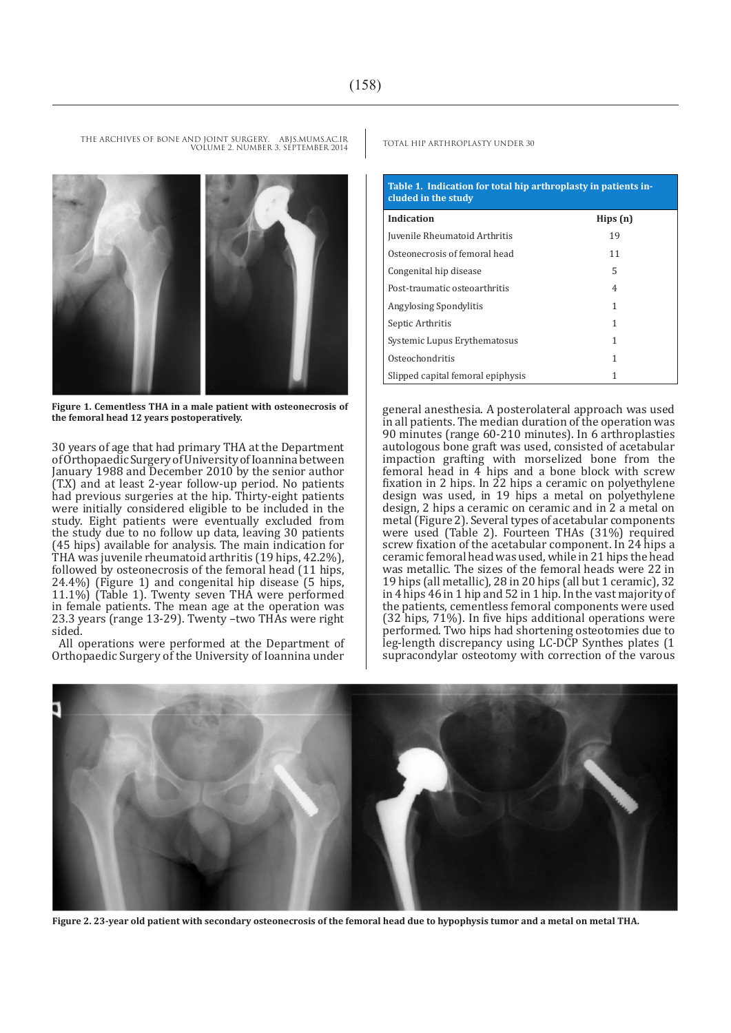**Figure 1. Cementless THA in a male patient with osteonecrosis of the femoral head 12 years postoperatively.**

30 years of age that had primary THA at the Department of Orthopaedic Surgery of University of Ioannina between January 1988 and December 2010 by the senior author (T.X) and at least 2-year follow-up period. No patients had previous surgeries at the hip. Thirty-eight patients were initially considered eligible to be included in the study. Eight patients were eventually excluded from the study due to no follow up data, leaving 30 patients (45 hips) available for analysis. The main indication for THA was juvenile rheumatoid arthritis (19 hips, 42.2%), followed by osteonecrosis of the femoral head (11 hips, 24.4%) (Figure 1) and congenital hip disease (5 hips, 11.1%) (Table 1). Twenty seven THA were performed in female patients. The mean age at the operation was 23.3 years (range 13-29). Twenty –two THAs were right sided.

All operations were performed at the Department of Orthopaedic Surgery of the University of Ioannina under

THE ARCHIVES OF BONE AND JOINT SURGERY. ABJS.MUMS.AC.IR TOTAL HIP ARTHROPLASTY UNDER 30

| Table 1. Indication for total hip arthroplasty in patients in-<br>cluded in the study |         |
|---------------------------------------------------------------------------------------|---------|
| Indication                                                                            | Hips(n) |
| Juvenile Rheumatoid Arthritis                                                         | 19      |
| Osteonecrosis of femoral head                                                         | 11      |
| Congenital hip disease                                                                | 5       |
| Post-traumatic osteoarthritis                                                         | 4       |
| <b>Angylosing Spondylitis</b>                                                         | 1       |
| Septic Arthritis                                                                      | 1       |
| Systemic Lupus Erythematosus                                                          | 1       |
| Osteochondritis                                                                       | 1       |
| Slipped capital femoral epiphysis                                                     |         |

general anesthesia. A posterolateral approach was used in all patients. The median duration of the operation was 90 minutes (range 60-210 minutes). In 6 arthroplasties autologous bone graft was used, consisted of acetabular impaction grafting with morselized bone from the femoral head in 4 hips and a bone block with screw fixation in 2 hips. In 22 hips a ceramic on polyethylene design was used, in 19 hips a metal on polyethylene design, 2 hips a ceramic on ceramic and in 2 a metal on metal (Figure 2). Several types of acetabular components were used (Table 2). Fourteen THAs (31%) required screw fixation of the acetabular component. In 24 hips a ceramic femoral head was used, while in 21 hips the head was metallic. The sizes of the femoral heads were 22 in 19 hips (all metallic), 28 in 20 hips (all but 1 ceramic), 32 in 4 hips 46 in 1 hip and 52 in 1 hip. In the vast majority of the patients, cementless femoral components were used (32 hips, 71%). In five hips additional operations were performed. Two hips had shortening osteotomies due to leg-length discrepancy using LC-DCP Synthes plates (1 supracondylar osteotomy with correction of the varous



**Figure 2. 23-year old patient with secondary osteonecrosis of the femoral head due to hypophysis tumor and a metal on metal THA.**



VOLUME 2. NUMBER 3. SEPTEMBER 2014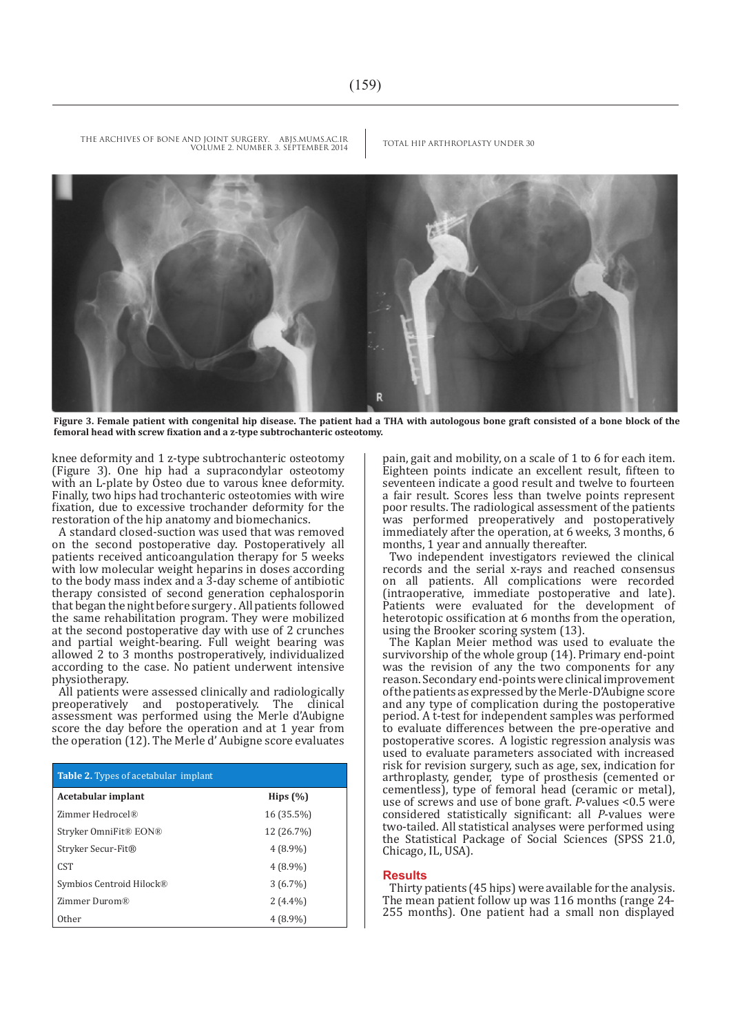

**Figure 3. Female patient with congenital hip disease. The patient had a THA with autologous bone graft consisted of a bone block of the femoral head with screw fixation and a z-type subtrochanteric osteotomy.**

knee deformity and 1 z-type subtrochanteric osteotomy (Figure 3). One hip had a supracondylar osteotomy with an L-plate by Osteo due to varous knee deformity. Finally, two hips had trochanteric osteotomies with wire fixation, due to excessive trochander deformity for the restoration of the hip anatomy and biomechanics.

A standard closed-suction was used that was removed on the second postoperative day. Postoperatively all patients received anticoangulation therapy for 5 weeks with low molecular weight heparins in doses according to the body mass index and a 3-day scheme of antibiotic therapy consisted of second generation cephalosporin that began the night before surgery . All patients followed the same rehabilitation program. They were mobilized at the second postoperative day with use of 2 crunches and partial weight-bearing. Full weight bearing was allowed 2 to 3 months postroperatively, individualized according to the case. No patient underwent intensive physiotherapy.

All patients were assessed clinically and radiologically<br>preoperatively and postoperatively. The clinical preoperatively and postoperatively. The assessment was performed using the Merle d'Aubigne score the day before the operation and at 1 year from the operation (12). The Merle d' Aubigne score evaluates

| <b>Table 2.</b> Types of acetabular implant |              |
|---------------------------------------------|--------------|
| Acetabular implant                          | Hips $(\% )$ |
| Zimmer Hedrocel®                            | 16 (35.5%)   |
| Stryker OmniFit® EON®                       | 12 (26.7%)   |
| Stryker Secur-Fit®                          | $4(8.9\%)$   |
| <b>CST</b>                                  | $4(8.9\%)$   |
| Symbios Centroid Hilock®                    | $3(6.7\%)$   |
| Zimmer Durom®                               | $2(4.4\%)$   |
| Other                                       | $4(8.9\%)$   |

pain, gait and mobility, on a scale of 1 to 6 for each item. Eighteen points indicate an excellent result, fifteen to seventeen indicate a good result and twelve to fourteen a fair result. Scores less than twelve points represent poor results. The radiological assessment of the patients was performed preoperatively and postoperatively immediately after the operation, at 6 weeks, 3 months, 6 months, 1 year and annually thereafter.

Two independent investigators reviewed the clinical records and the serial x-rays and reached consensus on all patients. All complications were recorded (intraoperative, immediate postoperative and late). Patients were evaluated for the development of heterotopic ossification at 6 months from the operation, using the Brooker scoring system (13).

The Kaplan Meier method was used to evaluate the survivorship of the whole group (14). Primary end-point was the revision of any the two components for any reason. Secondary end-points were clinical improvement of the patients as expressed by the Merle-D'Aubigne score and any type of complication during the postoperative period. A t-test for independent samples was performed to evaluate differences between the pre-operative and postoperative scores. A logistic regression analysis was used to evaluate parameters associated with increased risk for revision surgery, such as age, sex, indication for arthroplasty, gender, type of prosthesis (cemented or cementless), type of femoral head (ceramic or metal), use of screws and use of bone graft. *P*-values <0.5 were considered statistically significant: all *P*-values were two-tailed. All statistical analyses were performed using the Statistical Package of Social Sciences (SPSS 21.0, Chicago, IL, USA).

#### **Results**

Thirty patients (45 hips) were available for the analysis. The mean patient follow up was 116 months (range 24- 255 months). One patient had a small non displayed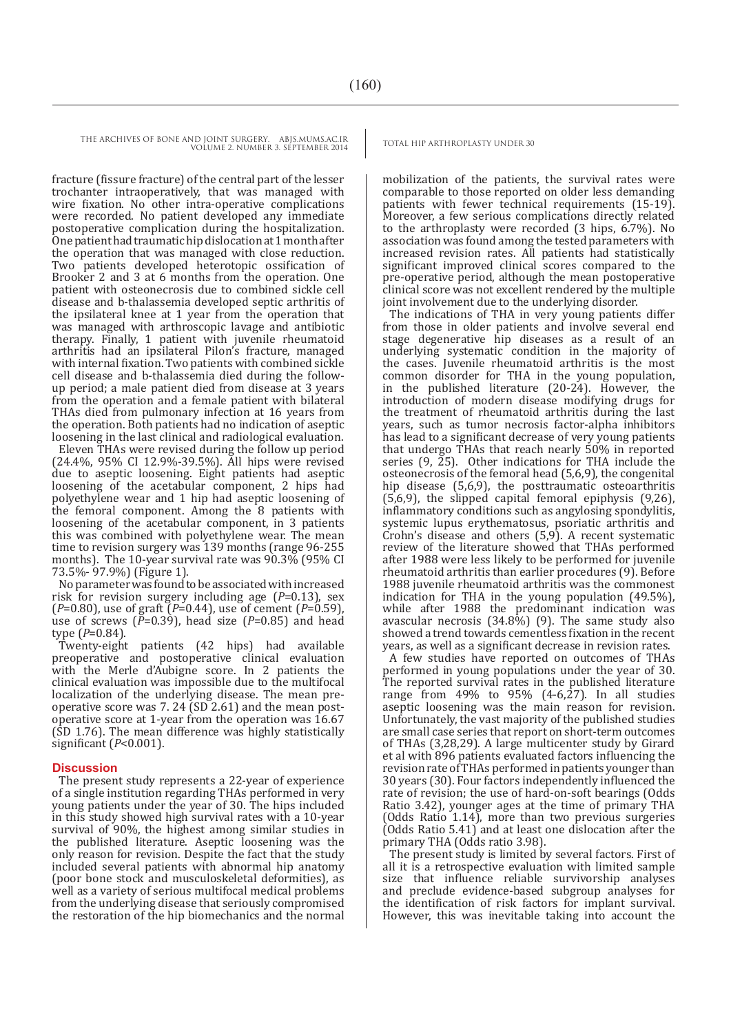fracture (fissure fracture) of the central part of the lesser trochanter intraoperatively, that was managed with wire fixation. No other intra-operative complications were recorded. No patient developed any immediate postoperative complication during the hospitalization. One patient had traumatic hip dislocation at 1 month after the operation that was managed with close reduction. Two patients developed heterotopic ossification of Brooker 2 and 3 at 6 months from the operation. One patient with osteonecrosis due to combined sickle cell disease and b-thalassemia developed septic arthritis of the ipsilateral knee at 1 year from the operation that was managed with arthroscopic lavage and antibiotic therapy. Finally, 1 patient with juvenile rheumatoid arthritis had an ipsilateral Pilon's fracture, managed with internal fixation. Two patients with combined sickle cell disease and b-thalassemia died during the followup period; a male patient died from disease at 3 years from the operation and a female patient with bilateral THAs died from pulmonary infection at 16 years from the operation. Both patients had no indication of aseptic loosening in the last clinical and radiological evaluation.

Eleven THAs were revised during the follow up period (24.4%, 95% CI 12.9%-39.5%). All hips were revised due to aseptic loosening. Eight patients had aseptic loosening of the acetabular component, 2 hips had polyethylene wear and 1 hip had aseptic loosening of the femoral component. Among the 8 patients with loosening of the acetabular component, in 3 patients this was combined with polyethylene wear. The mean time to revision surgery was 139 months (range 96-255 months). The 10-year survival rate was 90.3% (95% CI 73.5%- 97.9%) (Figure 1).

No parameter was found to be associated with increased risk for revision surgery including age (*P*=0.13), sex (*P*=0.80), use of graft (*P*=0.44), use of cement (*P*=0.59), use of screws  $(\bar{P}=0.39)$ , head size  $(P=0.85)$  and head type (*P*=0.84).

Twenty-eight patients (42 hips) had available preoperative and postoperative clinical evaluation with the Merle d'Aubigne score. In 2 patients the clinical evaluation was impossible due to the multifocal localization of the underlying disease. The mean preoperative score was 7. 24 (SD 2.61) and the mean postoperative score at 1-year from the operation was 16.67 (SD 1.76). The mean difference was highly statistically significant (*P*<0.001).

#### **Discussion**

The present study represents a 22-year of experience of a single institution regarding THAs performed in very young patients under the year of 30. The hips included in this study showed high survival rates with a 10-year survival of 90%, the highest among similar studies in the published literature. Aseptic loosening was the only reason for revision. Despite the fact that the study included several patients with abnormal hip anatomy (poor bone stock and musculoskeletal deformities), as well as a variety of serious multifocal medical problems from the underlying disease that seriously compromised the restoration of the hip biomechanics and the normal

mobilization of the patients, the survival rates were comparable to those reported on older less demanding patients with fewer technical requirements (15-19). Moreover, a few serious complications directly related to the arthroplasty were recorded (3 hips, 6.7%). No association was found among the tested parameters with increased revision rates. All patients had statistically significant improved clinical scores compared to the pre-operative period, although the mean postoperative clinical score was not excellent rendered by the multiple joint involvement due to the underlying disorder.

The indications of THA in very young patients differ from those in older patients and involve several end stage degenerative hip diseases as a result of an underlying systematic condition in the majority of the cases. Juvenile rheumatoid arthritis is the most common disorder for THA in the young population, in the published literature (20-24). However, the introduction of modern disease modifying drugs for the treatment of rheumatoid arthritis during the last years, such as tumor necrosis factor-alpha inhibitors has lead to a significant decrease of very young patients that undergo THAs that reach nearly 50% in reported series (9, 25). Other indications for THA include the osteonecrosis of the femoral head (5,6,9), the congenital hip disease (5,6,9), the posttraumatic osteoarthritis (5,6,9), the slipped capital femoral epiphysis (9,26), inflammatory conditions such as angylosing spondylitis, systemic lupus erythematosus, psoriatic arthritis and Crohn's disease and others (5,9). A recent systematic review of the literature showed that THAs performed after 1988 were less likely to be performed for juvenile rheumatoid arthritis than earlier procedures (9). Before 1988 juvenile rheumatoid arthritis was the commonest indication for THA in the young population (49.5%), while after 1988 the predominant indication was avascular necrosis  $(34.8\%)$  (9). The same study also showed a trend towards cementless fixation in the recent years, as well as a significant decrease in revision rates.

A few studies have reported on outcomes of THAs performed in young populations under the year of 30. The reported survival rates in the published literature range from  $49\%$  to  $95\%$   $(4-6,27)$ . In all studies aseptic loosening was the main reason for revision. Unfortunately, the vast majority of the published studies are small case series that report on short-term outcomes of THAs (3,28,29). A large multicenter study by Girard et al with 896 patients evaluated factors influencing the revision rate of THAs performed in patients younger than 30 years (30). Four factors independently influenced the rate of revision; the use of hard-on-soft bearings (Odds Ratio 3.42), younger ages at the time of primary THA (Odds Ratio 1.14), more than two previous surgeries (Odds Ratio 5.41) and at least one dislocation after the primary THA (Odds ratio 3.98).

The present study is limited by several factors. First of all it is a retrospective evaluation with limited sample size that influence reliable survivorship analyses and preclude evidence-based subgroup analyses for the identification of risk factors for implant survival. However, this was inevitable taking into account the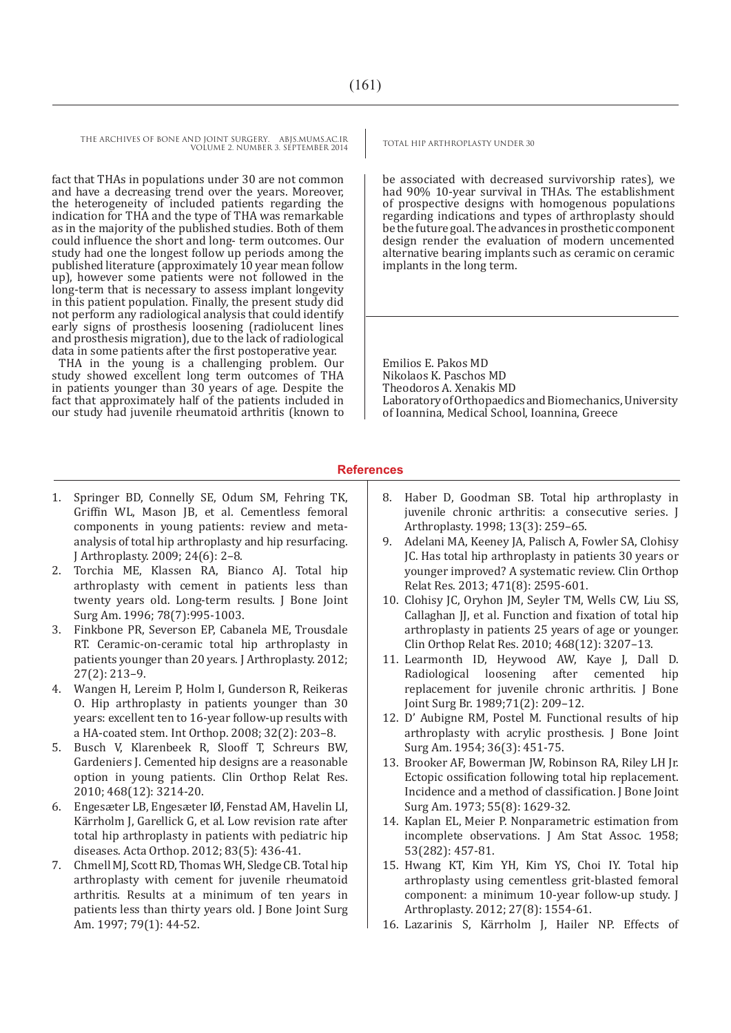fact that THAs in populations under 30 are not common and have a decreasing trend over the years. Moreover, the heterogeneity of included patients regarding the indication for THA and the type of THA was remarkable as in the majority of the published studies. Both of them could influence the short and long- term outcomes. Our study had one the longest follow up periods among the published literature (approximately 10 year mean follow up), however some patients were not followed in the long-term that is necessary to assess implant longevity in this patient population. Finally, the present study did not perform any radiological analysis that could identify early signs of prosthesis loosening (radiolucent lines and prosthesis migration), due to the lack of radiological data in some patients after the first postoperative year.

THA in the young is a challenging problem. Our study showed excellent long term outcomes of THA in patients younger than 30 years of age. Despite the fact that approximately half of the patients included in our study had juvenile rheumatoid arthritis (known to

1. Springer BD, Connelly SE, Odum SM, Fehring TK, Griffin WL, Mason JB, et al. Cementless femoral components in young patients: review and metaanalysis of total hip arthroplasty and hip resurfacing. J Arthroplasty. 2009; 24(6): 2–8.

- 2. Torchia ME, Klassen RA, Bianco AJ. Total hip arthroplasty with cement in patients less than twenty years old. Long-term results. J Bone Joint Surg Am. 1996; 78(7):995-1003.
- 3. Finkbone PR, Severson EP, Cabanela ME, Trousdale RT. Ceramic-on-ceramic total hip arthroplasty in patients younger than 20 years. J Arthroplasty. 2012; 27(2): 213–9.
- 4. Wangen H, Lereim P, Holm I, Gunderson R, Reikeras O. Hip arthroplasty in patients younger than 30 years: excellent ten to 16-year follow-up results with a HA-coated stem. Int Orthop. 2008; 32(2): 203–8.
- 5. Busch V, Klarenbeek R, Slooff T, Schreurs BW, Gardeniers J. Cemented hip designs are a reasonable option in young patients. Clin Orthop Relat Res. 2010; 468(12): 3214-20.
- 6. Engesæter LB, Engesæter IØ, Fenstad AM, Havelin LI, Kärrholm J, Garellick G, et al. Low revision rate after total hip arthroplasty in patients with pediatric hip diseases. Acta Orthop. 2012; 83(5): 436-41.
- 7. Chmell MJ, Scott RD, Thomas WH, Sledge CB. Total hip arthroplasty with cement for juvenile rheumatoid arthritis. Results at a minimum of ten years in patients less than thirty years old. J Bone Joint Surg Am. 1997; 79(1): 44-52.

be associated with decreased survivorship rates), we had 90% 10-year survival in THAs. The establishment of prospective designs with homogenous populations regarding indications and types of arthroplasty should be the future goal. The advances in prosthetic component design render the evaluation of modern uncemented alternative bearing implants such as ceramic on ceramic implants in the long term.

Emilios E. Pakos MD Nikolaos K. Paschos MD Theodoros A. Xenakis MD Laboratory of Orthopaedics and Biomechanics, University of Ioannina, Medical School, Ioannina, Greece

#### **References**

- 8. Haber D, Goodman SB. Total hip arthroplasty in juvenile chronic arthritis: a consecutive series. J Arthroplasty. 1998; 13(3): 259–65.
- 9. Adelani MA, Keeney JA, Palisch A, Fowler SA, Clohisy JC. Has total hip arthroplasty in patients 30 years or younger improved? A systematic review. Clin Orthop Relat Res. 2013; 471(8): 2595-601.
- 10. Clohisy JC, Oryhon JM, Seyler TM, Wells CW, Liu SS, Callaghan JJ, et al. Function and fixation of total hip arthroplasty in patients 25 years of age or younger. Clin Orthop Relat Res. 2010; 468(12): 3207–13.
- 11. Learmonth ID, Heywood AW, Kaye J, Dall D. Radiological loosening after replacement for juvenile chronic arthritis. J Bone Joint Surg Br. 1989;71(2): 209–12.
- 12. D' Aubigne RM, Postel M. Functional results of hip arthroplasty with acrylic prosthesis. J Bone Joint Surg Am. 1954; 36(3): 451-75.
- 13. Brooker AF, Bowerman JW, Robinson RA, Riley LH Jr. Ectopic ossification following total hip replacement. Incidence and a method of classification. J Bone Joint Surg Am. 1973; 55(8): 1629-32.
- 14. Kaplan EL, Meier P. Nonparametric estimation from incomplete observations. J Am Stat Assoc. 1958; 53(282): 457-81.
- 15. Hwang KT, Kim YH, Kim YS, Choi IY. Total hip arthroplasty using cementless grit-blasted femoral component: a minimum 10-year follow-up study. J Arthroplasty. 2012; 27(8): 1554-61.
- 16. Lazarinis S, Kärrholm J, Hailer NP. Effects of